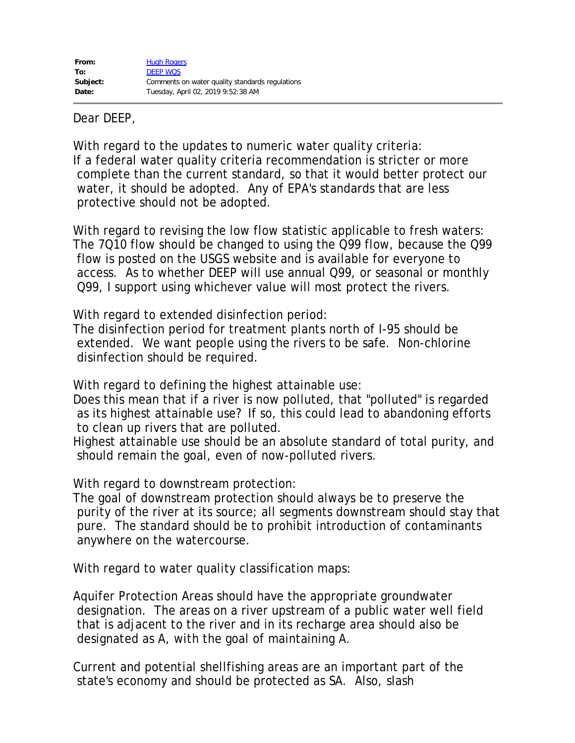Dear DEEP,

With regard to the updates to numeric water quality criteria: If a federal water quality criteria recommendation is stricter or more complete than the current standard, so that it would better protect our water, it should be adopted. Any of EPA's standards that are less protective should not be adopted.

With regard to revising the low flow statistic applicable to fresh waters: The 7Q10 flow should be changed to using the Q99 flow, because the Q99 flow is posted on the USGS website and is available for everyone to access. As to whether DEEP will use annual Q99, or seasonal or monthly Q99, I support using whichever value will most protect the rivers.

With regard to extended disinfection period:

The disinfection period for treatment plants north of I-95 should be extended. We want people using the rivers to be safe. Non-chlorine disinfection should be required.

With regard to defining the highest attainable use:

Does this mean that if a river is now polluted, that "polluted" is regarded as its highest attainable use? If so, this could lead to abandoning efforts to clean up rivers that are polluted.

Highest attainable use should be an absolute standard of total purity, and should remain the goal, even of now-polluted rivers.

With regard to downstream protection:

The goal of downstream protection should always be to preserve the purity of the river at its source; all segments downstream should stay that pure. The standard should be to prohibit introduction of contaminants anywhere on the watercourse.

With regard to water quality classification maps:

Aquifer Protection Areas should have the appropriate groundwater designation. The areas on a river upstream of a public water well field that is adjacent to the river and in its recharge area should also be designated as A, with the goal of maintaining A.

Current and potential shellfishing areas are an important part of the state's economy and should be protected as SA. Also, slash